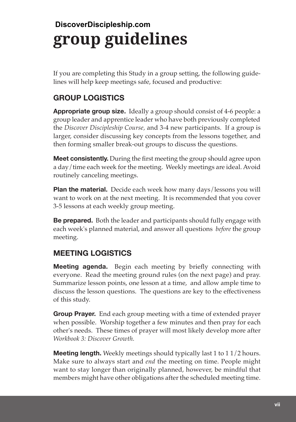## **group guidelines DiscoverDiscipleship.com**

If you are completing this Study in a group setting, the following guidelines will help keep meetings safe, focused and productive:

## **GROUP LOGISTICS**

**Appropriate group size.** Ideally a group should consist of 4-6 people: a group leader and apprentice leader who have both previously completed the *Discover Discipleship Course,* and 3-4 new participants. If a group is larger, consider discussing key concepts from the lessons together, and then forming smaller break-out groups to discuss the questions.

**Meet consistently.** During the frst meeting the group should agree upon a day/time each week for the meeting. Weekly meetings are ideal. Avoid routinely canceling meetings.

**Plan the material.** Decide each week how many days/lessons you will want to work on at the next meeting. It is recommended that you cover 3-5 lessons at each weekly group meeting.

**Be prepared.** Both the leader and participants should fully engage with each week's planned material, and answer all questions *before* the group meeting.

## **MEETING LOGISTICS**

**Meeting agenda.** Begin each meeting by briefly connecting with everyone. Read the meeting ground rules (on the next page) and pray. Summarize lesson points, one lesson at a time, and allow ample time to discuss the lesson questions. The questions are key to the efectiveness of this study.

**Group Prayer.** End each group meeting with a time of extended prayer when possible. Worship together a few minutes and then pray for each other's needs. These times of prayer will most likely develop more after *Workbook 3: Discover Growth.* 

**Meeting length.** Weekly meetings should typically last 1 to 1 1/2 hours. Make sure to always start and *end* the meeting on time. People might want to stay longer than originally planned, however, be mindful that members might have other obligations after the scheduled meeting time.